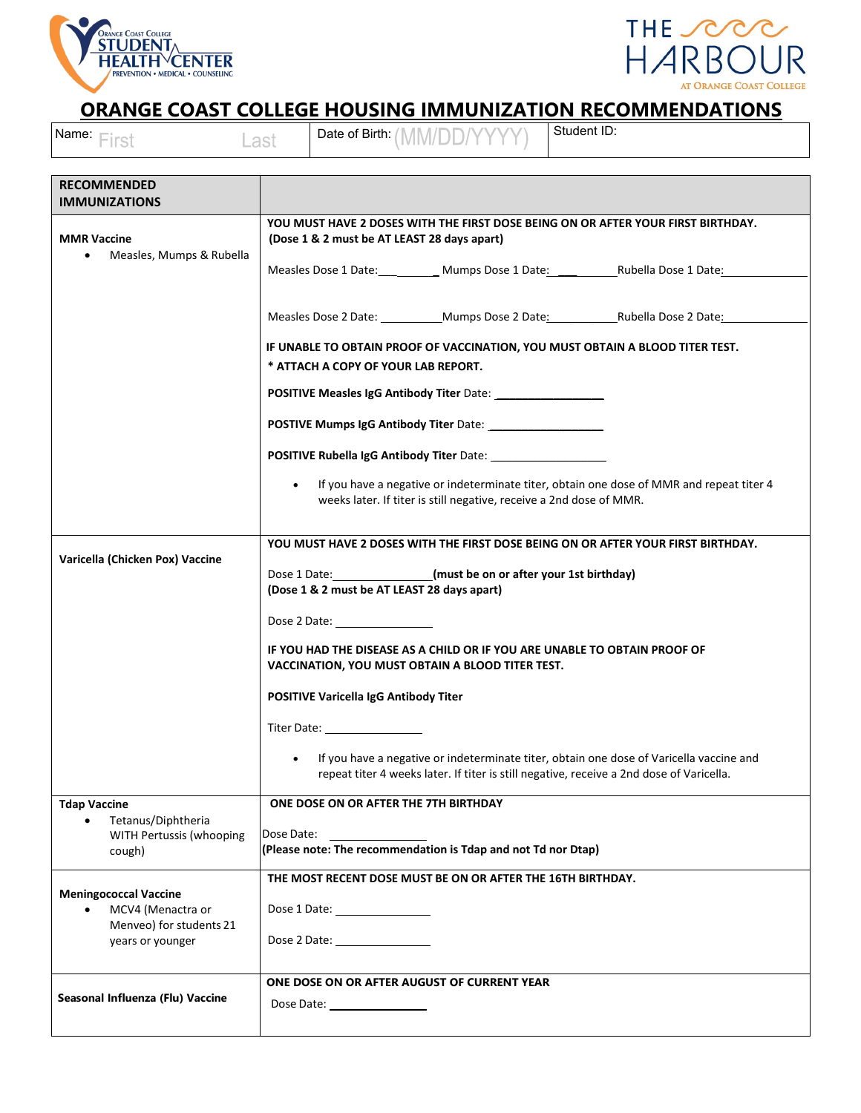



## **ORANGE COAST COLLEGE HOUSING IMMUNIZATION RECOMMENDATIONS**

| Name: First                                                                               | Last                                                                                                                                                                                                                                                                                                                                                            | Date of Birth: (MM/DD/Y                                                                                                                                                       | Student ID: |  |  |  |
|-------------------------------------------------------------------------------------------|-----------------------------------------------------------------------------------------------------------------------------------------------------------------------------------------------------------------------------------------------------------------------------------------------------------------------------------------------------------------|-------------------------------------------------------------------------------------------------------------------------------------------------------------------------------|-------------|--|--|--|
| <b>RECOMMENDED</b><br><b>IMMUNIZATIONS</b>                                                |                                                                                                                                                                                                                                                                                                                                                                 |                                                                                                                                                                               |             |  |  |  |
| <b>MMR Vaccine</b><br>Measles, Mumps & Rubella                                            | YOU MUST HAVE 2 DOSES WITH THE FIRST DOSE BEING ON OR AFTER YOUR FIRST BIRTHDAY.<br>(Dose 1 & 2 must be AT LEAST 28 days apart)                                                                                                                                                                                                                                 |                                                                                                                                                                               |             |  |  |  |
|                                                                                           |                                                                                                                                                                                                                                                                                                                                                                 |                                                                                                                                                                               |             |  |  |  |
|                                                                                           | Measles Dose 2 Date: ______________Mumps Dose 2 Date: ___________________________<br>IF UNABLE TO OBTAIN PROOF OF VACCINATION, YOU MUST OBTAIN A BLOOD TITER TEST.<br>* ATTACH A COPY OF YOUR LAB REPORT.                                                                                                                                                       |                                                                                                                                                                               |             |  |  |  |
|                                                                                           |                                                                                                                                                                                                                                                                                                                                                                 |                                                                                                                                                                               |             |  |  |  |
|                                                                                           |                                                                                                                                                                                                                                                                                                                                                                 | <b>POSITIVE Measles IgG Antibody Titer Date:</b><br><b>POSTIVE Mumps IgG Antibody Titer Date:</b>                                                                             |             |  |  |  |
|                                                                                           |                                                                                                                                                                                                                                                                                                                                                                 |                                                                                                                                                                               |             |  |  |  |
|                                                                                           | If you have a negative or indeterminate titer, obtain one dose of MMR and repeat titer 4<br>weeks later. If titer is still negative, receive a 2nd dose of MMR.                                                                                                                                                                                                 |                                                                                                                                                                               |             |  |  |  |
| Varicella (Chicken Pox) Vaccine                                                           | YOU MUST HAVE 2 DOSES WITH THE FIRST DOSE BEING ON OR AFTER YOUR FIRST BIRTHDAY.<br>Dose 1 Date: [must be on or after your 1st birthday]<br>(Dose 1 & 2 must be AT LEAST 28 days apart)                                                                                                                                                                         |                                                                                                                                                                               |             |  |  |  |
|                                                                                           | Dose 2 Date: the contract of the contract of the contract of the contract of the contract of the contract of the contract of the contract of the contract of the contract of the contract of the contract of the contract of t<br>IF YOU HAD THE DISEASE AS A CHILD OR IF YOU ARE UNABLE TO OBTAIN PROOF OF<br>VACCINATION, YOU MUST OBTAIN A BLOOD TITER TEST. |                                                                                                                                                                               |             |  |  |  |
|                                                                                           |                                                                                                                                                                                                                                                                                                                                                                 | POSITIVE Varicella IgG Antibody Titer                                                                                                                                         |             |  |  |  |
|                                                                                           |                                                                                                                                                                                                                                                                                                                                                                 |                                                                                                                                                                               |             |  |  |  |
|                                                                                           | If you have a negative or indeterminate titer, obtain one dose of Varicella vaccine and<br>repeat titer 4 weeks later. If titer is still negative, receive a 2nd dose of Varicella.                                                                                                                                                                             |                                                                                                                                                                               |             |  |  |  |
| <b>Tdap Vaccine</b><br>Tetanus/Diphtheria<br>$\bullet$                                    | ONE DOSE ON OR AFTER THE 7TH BIRTHDAY                                                                                                                                                                                                                                                                                                                           |                                                                                                                                                                               |             |  |  |  |
| WITH Pertussis (whooping<br>cough)                                                        | Dose Date:<br>(Please note: The recommendation is Tdap and not Td nor Dtap)                                                                                                                                                                                                                                                                                     |                                                                                                                                                                               |             |  |  |  |
| <b>Meningococcal Vaccine</b><br>MCV4 (Menactra or<br>$\bullet$<br>Menveo) for students 21 |                                                                                                                                                                                                                                                                                                                                                                 | THE MOST RECENT DOSE MUST BE ON OR AFTER THE 16TH BIRTHDAY.<br>Dose 1 Date: Noted that the set of the set of the set of the set of the set of the set of the set of the set o |             |  |  |  |
| years or younger                                                                          |                                                                                                                                                                                                                                                                                                                                                                 |                                                                                                                                                                               |             |  |  |  |
| Seasonal Influenza (Flu) Vaccine                                                          |                                                                                                                                                                                                                                                                                                                                                                 | ONE DOSE ON OR AFTER AUGUST OF CURRENT YEAR                                                                                                                                   |             |  |  |  |